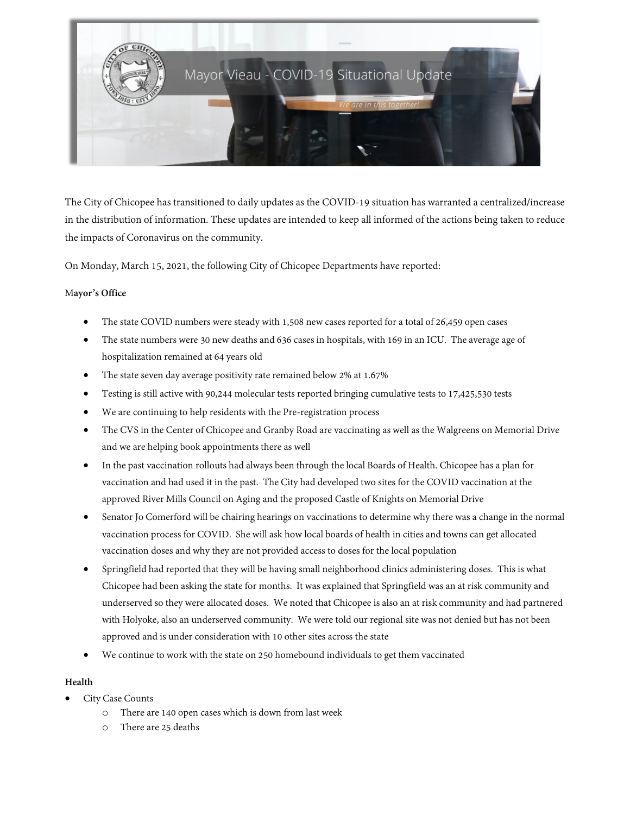

The City of Chicopee has transitioned to daily updates as the COVID-19 situation has warranted a centralized/increase in the distribution of information. These updates are intended to keep all informed of the actions being taken to reduce the impacts of Coronavirus on the community.

On Monday, March 15, 2021, the following City of Chicopee Departments have reported:

#### M**ayor's Office**

- The state COVID numbers were steady with 1,508 new cases reported for a total of 26,459 open cases
- The state numbers were 30 new deaths and 636 cases in hospitals, with 169 in an ICU. The average age of hospitalization remained at 64 years old
- The state seven day average positivity rate remained below 2% at 1.67%
- Testing is still active with 90,244 molecular tests reported bringing cumulative tests to 17,425,530 tests
- We are continuing to help residents with the Pre-registration process
- The CVS in the Center of Chicopee and Granby Road are vaccinating as well as the Walgreens on Memorial Drive and we are helping book appointments there as well
- In the past vaccination rollouts had always been through the local Boards of Health. Chicopee has a plan for vaccination and had used it in the past. The City had developed two sites for the COVID vaccination at the approved River Mills Council on Aging and the proposed Castle of Knights on Memorial Drive
- Senator Jo Comerford will be chairing hearings on vaccinations to determine why there was a change in the normal vaccination process for COVID. She will ask how local boards of health in cities and towns can get allocated vaccination doses and why they are not provided access to doses for the local population
- Springfield had reported that they will be having small neighborhood clinics administering doses. This is what Chicopee had been asking the state for months. It was explained that Springfield was an at risk community and underserved so they were allocated doses. We noted that Chicopee is also an at risk community and had partnered with Holyoke, also an underserved community. We were told our regional site was not denied but has not been approved and is under consideration with 10 other sites across the state
- We continue to work with the state on 250 homebound individuals to get them vaccinated

# **Health**

- City Case Counts
	- o There are 140 open cases which is down from last week
	- There are 25 deaths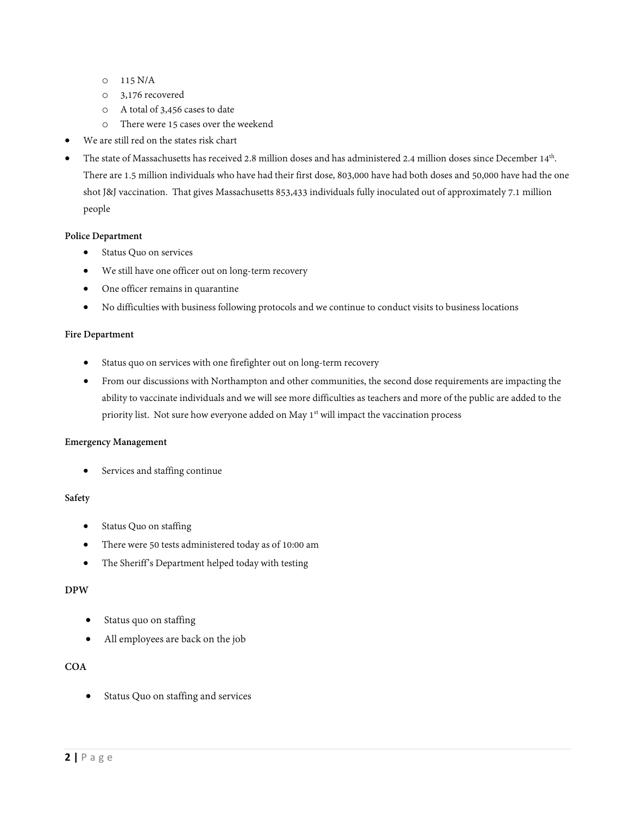- o 115 N/A
- o 3,176 recovered
- o A total of 3,456 cases to date
- o There were 15 cases over the weekend
- We are still red on the states risk chart
- The state of Massachusetts has received 2.8 million doses and has administered 2.4 million doses since December 14<sup>th</sup>. There are 1.5 million individuals who have had their first dose, 803,000 have had both doses and 50,000 have had the one shot J&J vaccination. That gives Massachusetts 853,433 individuals fully inoculated out of approximately 7.1 million people

#### **Police Department**

- Status Quo on services
- We still have one officer out on long-term recovery
- One officer remains in quarantine
- No difficulties with business following protocols and we continue to conduct visits to business locations

#### **Fire Department**

- Status quo on services with one firefighter out on long-term recovery
- From our discussions with Northampton and other communities, the second dose requirements are impacting the ability to vaccinate individuals and we will see more difficulties as teachers and more of the public are added to the priority list. Not sure how everyone added on May 1<sup>st</sup> will impact the vaccination process

#### **Emergency Management**

Services and staffing continue

### **Safety**

- Status Quo on staffing
- There were 50 tests administered today as of 10:00 am
- The Sheriff's Department helped today with testing

#### **DPW**

- Status quo on staffing
- All employees are back on the job

## **COA**

Status Quo on staffing and services